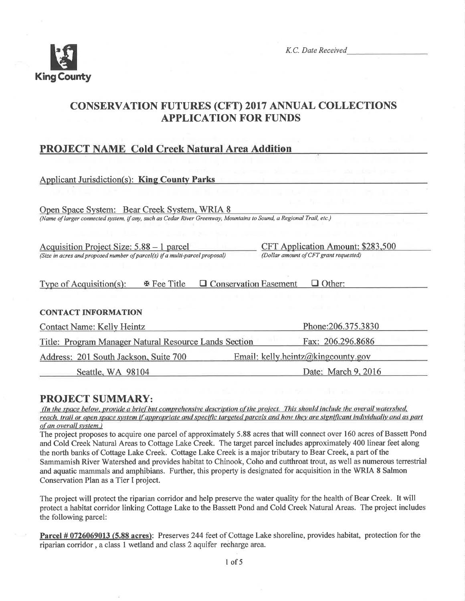

K.C. Date Received

# **CONSERVATION FUTURES (CFT) 2017 ANNUAL COLLECTIONS APPLICATION FOR FUNDS**

# **PROJECT NAME Cold Creek Natural Area Addition**

| <b>Applicant Jurisdiction(s): King County Parks</b>                                                                 |                                        |
|---------------------------------------------------------------------------------------------------------------------|----------------------------------------|
|                                                                                                                     |                                        |
| Open Space System: Bear Creek System, WRIA 8                                                                        |                                        |
| (Name of larger connected system, if any, such as Cedar River Greenway, Mountains to Sound, a Regional Trail, etc.) |                                        |
|                                                                                                                     |                                        |
| Acquisition Project Size: 5.88 – 1 parcel                                                                           | CFT Application Amount: \$283,500      |
| (Size in acres and proposed number of parcel(s) if a multi-parcel proposal)                                         | (Dollar amount of CFT grant requested) |
|                                                                                                                     |                                        |
|                                                                                                                     |                                        |
| 图 Fee Title<br><b>Conservation Easement</b><br>Type of Acquisition(s):<br>⊔                                         | $\Box$ Other:                          |
|                                                                                                                     |                                        |
| <b>CONTACT INFORMATION</b>                                                                                          |                                        |
| <b>Contact Name: Kelly Heintz</b>                                                                                   | Phone: 206.375.3830                    |
| Title: Program Manager Natural Resource Lands Section                                                               | Fax: 206.296.8686                      |
| Address: 201 South Jackson, Suite 700                                                                               | Email: kelly.heintz@kingcounty.gov     |
| Seattle, WA 98104                                                                                                   | Date: March 9, 2016                    |

# **PROJECT SUMMARY:**

(In the space below, provide a brief but comprehensive description of the project. This should include the overall watershed, reach, trail or open space system if appropriate and specific targeted parcels and how they are significant individually and as part of an overall system.)

The project proposes to acquire one parcel of approximately 5.88 acres that will connect over 160 acres of Bassett Pond and Cold Creek Natural Areas to Cottage Lake Creek. The target parcel includes approximately 400 linear feet along the north banks of Cottage Lake Creek. Cottage Lake Creek is a major tributary to Bear Creek, a part of the Sammamish River Watershed and provides habitat to Chinook, Coho and cutthroat trout, as well as numerous terrestrial and aquatic mammals and amphibians. Further, this property is designated for acquisition in the WRIA 8 Salmon Conservation Plan as a Tier I project.

The project will protect the riparian corridor and help preserve the water quality for the health of Bear Creek. It will protect a habitat corridor linking Cottage Lake to the Bassett Pond and Cold Creek Natural Areas. The project includes the following parcel:

Parcel # 0726069013 (5.88 acres): Preserves 244 feet of Cottage Lake shoreline, provides habitat, protection for the riparian corridor, a class 1 wetland and class 2 aquifer recharge area.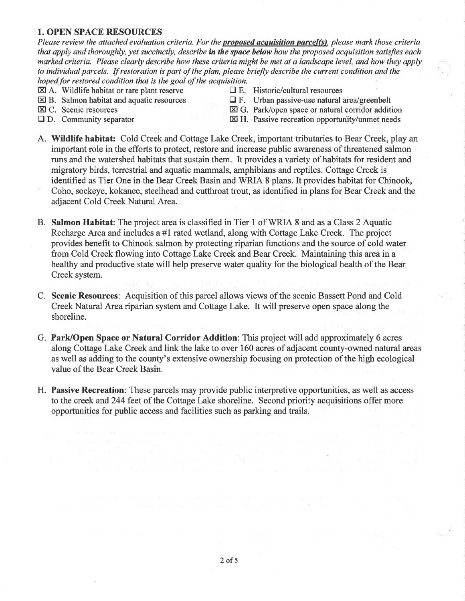## 1. OPEN SPACE RESOURCES

Please review the attached evaluation criteria. For the **proposed acquisition parcel(s)**, please mark those criteria that apply and thoroughly, yet succinctly, describe in the space below how the proposed acquisition satisfies each marked criteriq. Please clearly describe how these criteria might be met at a landscape level, and how they apply to individual parcels. If restoration is part of the plan, please briefly describe the current condition and the hoped for restored condition that is the goal of the acquisition.

- 
- $\boxtimes$  A. Wildlife habitat or rare plant reserve  $\Box$  E. Historic/cultural resources  $\Box$  E. Urban passive-use natural is
- 
- 
- 
- $\boxtimes$  B. Salmon habitat and aquatic resources  $\Box$  F. Urban passive-use natural area/greenbelt  $\boxtimes$  C. Scenic resources  $\boxtimes$  G. Park/open space or natural corridor addit
	- $\boxtimes$  G. Park/open space or natural corridor addition
- $\Box$  D. Community separator  $\boxtimes$  H. Passive recreation opportunity/unmet needs
- A. Wildlife habitat: Cold Creek and Cottage Lake Creek, important tributaries to Bear Creek, play an important role in the efforts to protect, restore and increase public awareness of threatened salmon runs and the watershed habitats that sustain them. It provides a variety of habitats for resident and migratory birds, terrestrial and aquatic mammals, amphibians and reptiles. Cottage Creek is identified as Tier One in the Bear Creek Basin and WRIA 8 plans. It provides habitat for Chinook, Coho, sockeye, kokanee, steelhead and cutthroat trout, as identified in plans for Bear Creek and the adjacent Cold Creek Natural Area.
- B. Salmon Habitat: The project area is classified in Tier 1 of WRIA 8 and as a Class 2 Aquatic Recharge Area and includes a #1 rated wetland, along with Cottage Lake Creek. The project provides benefit to Chinook salmon by protecting riparian functions and the source of cold water from Cold Creek flowing into Cottage Lake Creek and Bear Creek. Maintaining this area in a healthy and productive state will help preserve water quality for the biological health of the Bear Creek system.
- C. Scenic Resources: Acquisition of this parcel allows views of the scenic Bassett Pond and Cold Creek Natural Area riparian system and Cottage Lake. It will preserve open space along the shoreline.
- G. Park/Open Space or Natural Corridor Addition: This project will add approximately 6 acres along Cottage Lake Creek and link the lake to over 160 acres of adjacent county-owned natural areas as well as adding to the county's extensive ownership focusing on protection of the high ecological value of the Bear Creek Basin.
- H. Passive Recreation: These parcels may provide public interpretive opportunities, as well as access to the creek and 244 feet of the Cottage Lake shoreline. Second priority acquisitions offer more opportunities for public access and facilities such as parking and trails.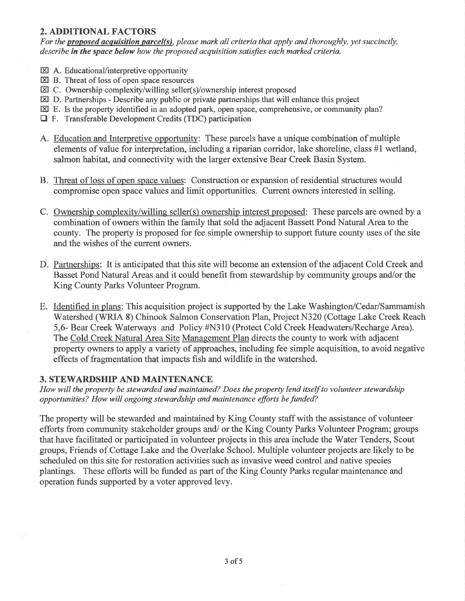# 2. ADDITIONAL FACTORS

For the **proposed acquisition parcel(s)**, please mark all criteria that apply and thoroughly, yet succinctly, describe in the space below how the proposed acquisition satisfies each marked criteria.

- **EX** A. Educational/interpretive opportunity
- $\boxtimes$  B. Threat of loss of open space resources
- EC. Ownership complexity/willing seller(s)/ownership interest proposed
- $\boxtimes$  D. Partnerships Describe any public or private partnerships that will enhance this project
- $\boxtimes$  E. Is the property identified in an adopted park, open space, comprehensive, or community plan?
- $\Box$  F. Transferable Development Credits (TDC) participation
- A. Education and Interpretive opportunity: These parcels have a unique combination of multiple elements of value for interpretation, including a riparian corridor, lake shoreline, class #1 wetland, salmon habitat, and connectivity with the larger extensive Bear Creek Basin System.
- B. Threat of loss of open space values: Construction or expansion of residential structures would compromise open space values and limit opportunities. Current owners interested in selling.
- C. Ownership complexity/willing seller(s) ownership interest proposed: These parcels are owned by a combination of owners within the family that sold the adjacent Bassett Pond Natural Area to the county. The property is proposed for fee simple ownership to support future county uses of the site and the wishes of the current owners.
- D. Partnerships: It is anticipated that this site will become an extension of the adjacent Cold Creek and Basset Pond Natural Areas and it could benefit from stewardship by community groups and/or the King County Parks Volunteer Program.
- E. Identified in plans: This acquisition project is supported by the Lake Washington/Cedar/Sammamish Watershed (WRIA 8) Chinook Salmon Conservation Plan, Project N320 (Cottage Lake Creek Reach 5,6- Bear Creek'Waterways and Policy #N310 (Protect Cold Creek Headwaters/Recharge Area). The Cold Creek Natural Area Site Management Plan directs the county to work with adjacent property owners to apply a variety of approaches, including fee simple acquisition, to avoid negative effects of fragmentation that impacts fish and wildlife in the watershed.

## 3. STEWARDSHIP AND MAINTENANCE

How will the property be stewarded and maintained? Does the property lend itself to volunteer stewardship opportunities? How will ongoing stewardship and maintenance efforts befunded?

The property will be stewarded and maintained by King County staff with the assistance of volunteer efforts from community stakeholder groups and/ or the King County Parks Volunteer Program; groups that have facilitated or participated in volunteer projects in this area include the Water Tenders, Scout groups, Friends of Cottage Lake and the Overlake School. Multiple volunteer projects are likely to be scheduled on this site for restoration activities such as invasive weed control and native species plantings. These efforts will be funded as part of the King County Parks regular maintenance and operation funds supported by a voter approved levy.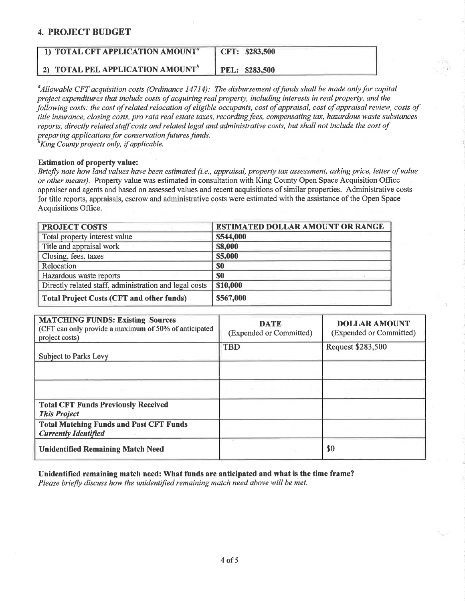## 4. PROJECT BUDGET

| 1) TOTAL CFT APPLICATION AMOUNT <sup>a</sup> | CFT: \$283,500 |
|----------------------------------------------|----------------|
| 2) TOTAL PEL APPLICATION AMOUNT <sup>o</sup> | PEL: \$283,500 |

 $^a$ Allowable CFT acquisition costs (Ordinance 14714): The disbursement of funds shall be made only for capital project expenditures that include costs of acquiring real property, including interests in real property, and the following costs: the cost of related relocation of eligible occupants, cost of appraisal, cost of appraisal review, costs of title insurance, closing costs, pro rata real estate taxes, recording fees, compensating tax, hazardous waste substances reports, directly related staff costs and related legal and administrative costs, but shall not include the cost of preparing applications for conservation futures funds.

 $\partial^b$ King County projects only, if applicable.

#### Estimation of property value:

Briefly note how land values have been estimated (i.e., appraisal, property tax assessment, asking price, letter of value or other means). Property value was estimated in consultation with King County Open Space Acquisition Office appraiser and agents and based on assessed values and recent acquisitions of similar properties. Administrative costs for title reports, appraisals, escrow and administrative costs were estimated with the assistance of the Open Space Acquisitions Office.

| <b>PROJECT COSTS</b>                                   | <b>ESTIMATED DOLLAR AMOUNT OR RANGE</b> |
|--------------------------------------------------------|-----------------------------------------|
| Total property interest value                          | \$544,000                               |
| Title and appraisal work                               | \$8,000                                 |
| Closing, fees, taxes                                   | \$5,000                                 |
| Relocation                                             | \$0                                     |
| Hazardous waste reports                                | \$0                                     |
| Directly related staff, administration and legal costs | \$10,000                                |
| <b>Total Project Costs (CFT and other funds)</b>       | \$567,000                               |

| <b>MATCHING FUNDS: Existing Sources</b><br>(CFT can only provide a maximum of 50% of anticipated<br>project costs) | <b>DATE</b><br>(Expended or Committed) | <b>DOLLAR AMOUNT</b><br>(Expended or Committed) |
|--------------------------------------------------------------------------------------------------------------------|----------------------------------------|-------------------------------------------------|
| <b>Subject to Parks Levy</b>                                                                                       | <b>TBD</b>                             | Request \$283,500                               |
|                                                                                                                    |                                        |                                                 |
|                                                                                                                    | At the second control of the second    | .                                               |
| <b>Total CFT Funds Previously Received</b><br><b>This Project</b>                                                  |                                        |                                                 |
| <b>Total Matching Funds and Past CFT Funds</b><br><b>Currently Identified</b>                                      |                                        |                                                 |
| <b>Unidentified Remaining Match Need</b>                                                                           |                                        | \$0                                             |

Unidentified remaining match need: What funds are anticipated and what is the time frame? Please briefly discuss how the unidentified remaining match need above will be met.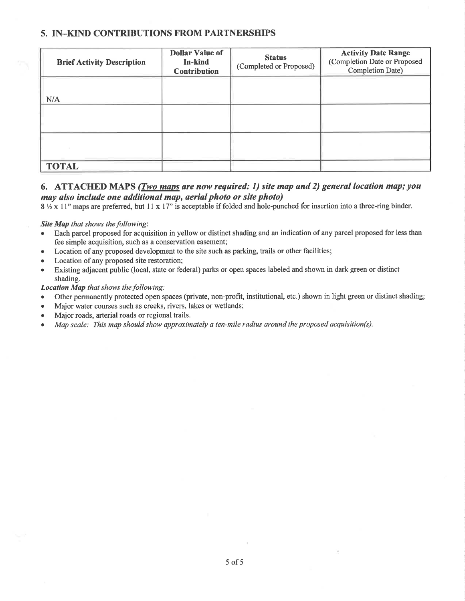# 5. IN\_KIND CONTRIBUTIONS FROM PARTNERSHIPS

| <b>Brief Activity Description</b> | <b>Dollar Value of</b><br>In-kind<br><b>Contribution</b> | <b>Status</b><br>(Completed or Proposed) | <b>Activity Date Range</b><br>(Completion Date or Proposed<br>Completion Date) |
|-----------------------------------|----------------------------------------------------------|------------------------------------------|--------------------------------------------------------------------------------|
| N/A                               |                                                          |                                          |                                                                                |
|                                   |                                                          |                                          |                                                                                |
|                                   |                                                          |                                          |                                                                                |
| <b>TOTAL</b>                      |                                                          |                                          |                                                                                |

# 6. ATTACHED MAPS (*Two maps are now required: 1) site map and 2) general location map; you* may also include one additional map, aeríal photo or síte photo)

 $8\frac{1}{2}$  x 11" maps are preferred, but 11 x 17" is acceptable if folded and hole-punched for insertion into a three-ring binder.

#### Site Map that shows the following:

- Each parcel proposed for acquisition in yellow or distinct shading and an indication of any parcel proposed for less than fee simple acquisition, such as a conservation easement;
- Location of any proposed development to the site such as parking, trails or other facilities;
- Location of any proposed site restoration;
- Existing adjacent public (local, state or federal) parks or open spaces labeled and shown in dark green or distinct shading.

#### Location Map that shows the following:

- o Other permanently protected open spaces (private, non-profit, institutional, etc.) shown in light green or distinct shading;
- Major water courses such as creeks, rivers, lakes or wetlands;
- . Major roads, arterial roads or regional trails.
- . Map scale: This map should show approximately a ten-mile radius øround the proposed acquisition(s).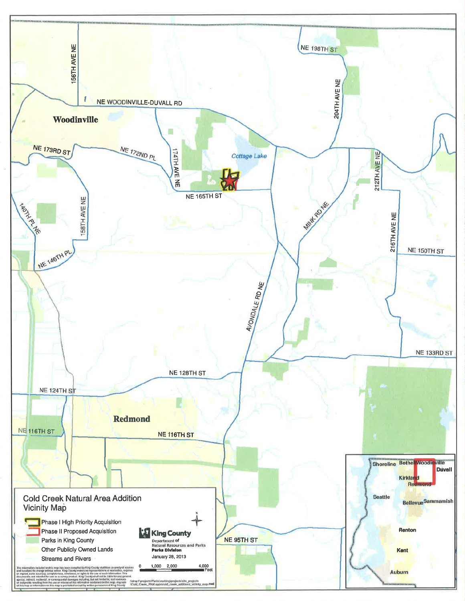